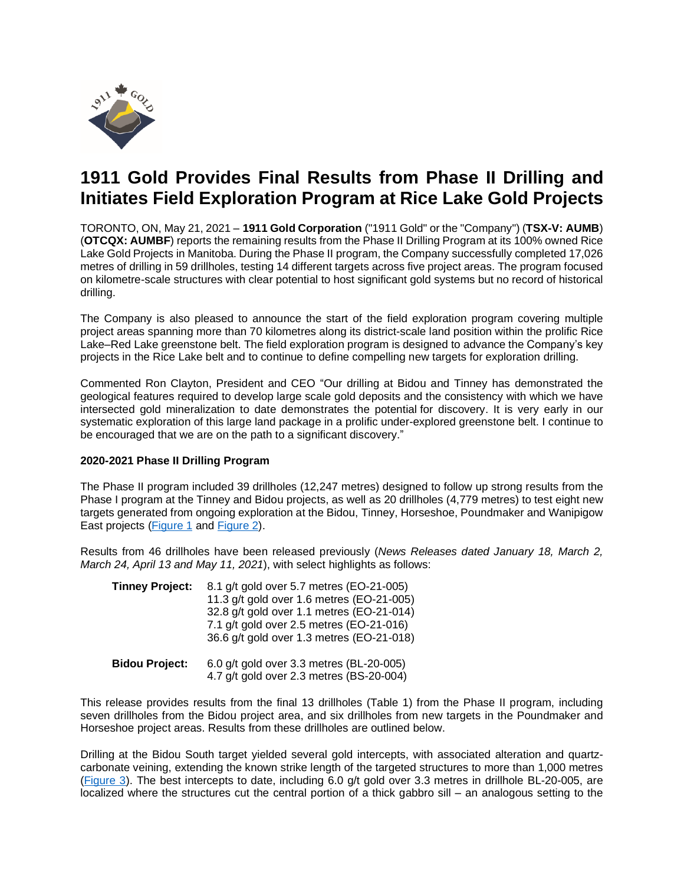

# **1911 Gold Provides Final Results from Phase II Drilling and Initiates Field Exploration Program at Rice Lake Gold Projects**

TORONTO, ON, May 21, 2021 – **1911 Gold Corporation** ("1911 Gold" or the "Company") (**TSX-V: AUMB**) (**OTCQX: AUMBF**) reports the remaining results from the Phase II Drilling Program at its 100% owned Rice Lake Gold Projects in Manitoba. During the Phase II program, the Company successfully completed 17,026 metres of drilling in 59 drillholes, testing 14 different targets across five project areas. The program focused on kilometre-scale structures with clear potential to host significant gold systems but no record of historical drilling.

The Company is also pleased to announce the start of the field exploration program covering multiple project areas spanning more than 70 kilometres along its district-scale land position within the prolific Rice Lake–Red Lake greenstone belt. The field exploration program is designed to advance the Company's key projects in the Rice Lake belt and to continue to define compelling new targets for exploration drilling.

Commented Ron Clayton, President and CEO "Our drilling at Bidou and Tinney has demonstrated the geological features required to develop large scale gold deposits and the consistency with which we have intersected gold mineralization to date demonstrates the potential for discovery. It is very early in our systematic exploration of this large land package in a prolific under-explored greenstone belt. I continue to be encouraged that we are on the path to a significant discovery."

## **2020-2021 Phase II Drilling Program**

The Phase II program included 39 drillholes (12,247 metres) designed to follow up strong results from the Phase I program at the Tinney and Bidou projects, as well as 20 drillholes (4,779 metres) to test eight new targets generated from ongoing exploration at the Bidou, Tinney, Horseshoe, Poundmaker and Wanipigow East projects [\(Figure 1](https://www.1911gold.com/_resources/news/AUMB-NR-May-YY-2021-Figure-1.pdf) and [Figure 2\)](https://www.1911gold.com/_resources/news/AUMB-NR-May-YY-2021-Figure-2.pdf).

Results from 46 drillholes have been released previously (*News Releases dated January 18, March 2, March 24, April 13 and May 11, 2021*), with select highlights as follows:

| <b>Tinney Project:</b> | 8.1 g/t gold over 5.7 metres (EO-21-005)<br>11.3 g/t gold over 1.6 metres (EO-21-005)<br>32.8 g/t gold over 1.1 metres (EO-21-014)<br>7.1 g/t gold over 2.5 metres (EO-21-016)<br>36.6 g/t gold over 1.3 metres (EO-21-018) |
|------------------------|-----------------------------------------------------------------------------------------------------------------------------------------------------------------------------------------------------------------------------|
| <b>Bidou Project:</b>  | 6.0 g/t gold over 3.3 metres (BL-20-005)<br>4.7 g/t gold over 2.3 metres (BS-20-004)                                                                                                                                        |

This release provides results from the final 13 drillholes (Table 1) from the Phase II program, including seven drillholes from the Bidou project area, and six drillholes from new targets in the Poundmaker and Horseshoe project areas. Results from these drillholes are outlined below.

Drilling at the Bidou South target yielded several gold intercepts, with associated alteration and quartzcarbonate veining, extending the known strike length of the targeted structures to more than 1,000 metres [\(Figure](https://www.1911gold.com/_resources/news/AUMB-NR-May-YY-2021-Figure-3.pdf) 3). The best intercepts to date, including 6.0 g/t gold over 3.3 metres in drillhole BL-20-005, are localized where the structures cut the central portion of a thick gabbro sill – an analogous setting to the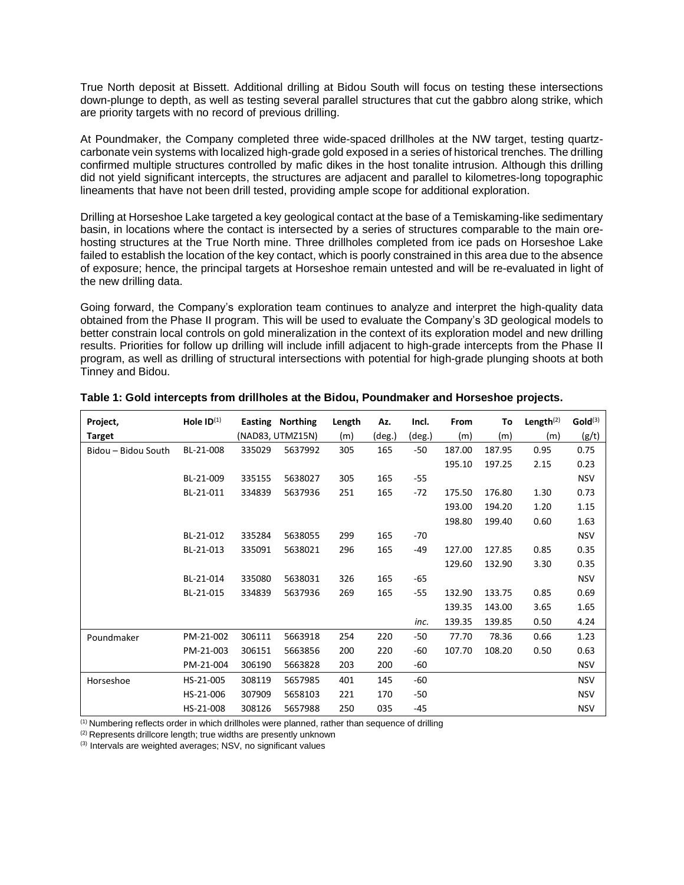True North deposit at Bissett. Additional drilling at Bidou South will focus on testing these intersections down-plunge to depth, as well as testing several parallel structures that cut the gabbro along strike, which are priority targets with no record of previous drilling.

At Poundmaker, the Company completed three wide-spaced drillholes at the NW target, testing quartzcarbonate vein systems with localized high-grade gold exposed in a series of historical trenches. The drilling confirmed multiple structures controlled by mafic dikes in the host tonalite intrusion. Although this drilling did not yield significant intercepts, the structures are adjacent and parallel to kilometres-long topographic lineaments that have not been drill tested, providing ample scope for additional exploration.

Drilling at Horseshoe Lake targeted a key geological contact at the base of a Temiskaming-like sedimentary basin, in locations where the contact is intersected by a series of structures comparable to the main orehosting structures at the True North mine. Three drillholes completed from ice pads on Horseshoe Lake failed to establish the location of the key contact, which is poorly constrained in this area due to the absence of exposure; hence, the principal targets at Horseshoe remain untested and will be re-evaluated in light of the new drilling data.

Going forward, the Company's exploration team continues to analyze and interpret the high-quality data obtained from the Phase II program. This will be used to evaluate the Company's 3D geological models to better constrain local controls on gold mineralization in the context of its exploration model and new drilling results. Priorities for follow up drilling will include infill adjacent to high-grade intercepts from the Phase II program, as well as drilling of structural intersections with potential for high-grade plunging shoots at both Tinney and Bidou.

| Project,            | Hole $ID^{(1)}$ |        | Easting Northing | Length | Az.    | Incl.  | From   | To     | Length $(2)$ | Gold <sup>(3)</sup> |
|---------------------|-----------------|--------|------------------|--------|--------|--------|--------|--------|--------------|---------------------|
| <b>Target</b>       |                 |        | (NAD83, UTMZ15N) | (m)    | (deg.) | (deg.) | (m)    | (m)    | (m)          | (g/t)               |
| Bidou - Bidou South | BL-21-008       | 335029 | 5637992          | 305    | 165    | -50    | 187.00 | 187.95 | 0.95         | 0.75                |
|                     |                 |        |                  |        |        |        | 195.10 | 197.25 | 2.15         | 0.23                |
|                     | BL-21-009       | 335155 | 5638027          | 305    | 165    | -55    |        |        |              | <b>NSV</b>          |
|                     | BL-21-011       | 334839 | 5637936          | 251    | 165    | $-72$  | 175.50 | 176.80 | 1.30         | 0.73                |
|                     |                 |        |                  |        |        |        | 193.00 | 194.20 | 1.20         | 1.15                |
|                     |                 |        |                  |        |        |        | 198.80 | 199.40 | 0.60         | 1.63                |
|                     | BL-21-012       | 335284 | 5638055          | 299    | 165    | -70    |        |        |              | <b>NSV</b>          |
|                     | BL-21-013       | 335091 | 5638021          | 296    | 165    | -49    | 127.00 | 127.85 | 0.85         | 0.35                |
|                     |                 |        |                  |        |        |        | 129.60 | 132.90 | 3.30         | 0.35                |
|                     | BL-21-014       | 335080 | 5638031          | 326    | 165    | -65    |        |        |              | <b>NSV</b>          |
|                     | BL-21-015       | 334839 | 5637936          | 269    | 165    | -55    | 132.90 | 133.75 | 0.85         | 0.69                |
|                     |                 |        |                  |        |        |        | 139.35 | 143.00 | 3.65         | 1.65                |
|                     |                 |        |                  |        |        | inc.   | 139.35 | 139.85 | 0.50         | 4.24                |
| Poundmaker          | PM-21-002       | 306111 | 5663918          | 254    | 220    | -50    | 77.70  | 78.36  | 0.66         | 1.23                |
|                     | PM-21-003       | 306151 | 5663856          | 200    | 220    | -60    | 107.70 | 108.20 | 0.50         | 0.63                |
|                     | PM-21-004       | 306190 | 5663828          | 203    | 200    | -60    |        |        |              | <b>NSV</b>          |
| Horseshoe           | HS-21-005       | 308119 | 5657985          | 401    | 145    | $-60$  |        |        |              | <b>NSV</b>          |
|                     | HS-21-006       | 307909 | 5658103          | 221    | 170    | -50    |        |        |              | <b>NSV</b>          |
|                     | HS-21-008       | 308126 | 5657988          | 250    | 035    | $-45$  |        |        |              | <b>NSV</b>          |

|  | Table 1: Gold intercepts from drillholes at the Bidou, Poundmaker and Horseshoe projects. |  |  |  |  |  |
|--|-------------------------------------------------------------------------------------------|--|--|--|--|--|
|--|-------------------------------------------------------------------------------------------|--|--|--|--|--|

 $<sup>(1)</sup>$  Numbering reflects order in which drillholes were planned, rather than sequence of drilling</sup>

(2) Represents drillcore length; true widths are presently unknown

(3) Intervals are weighted averages; NSV, no significant values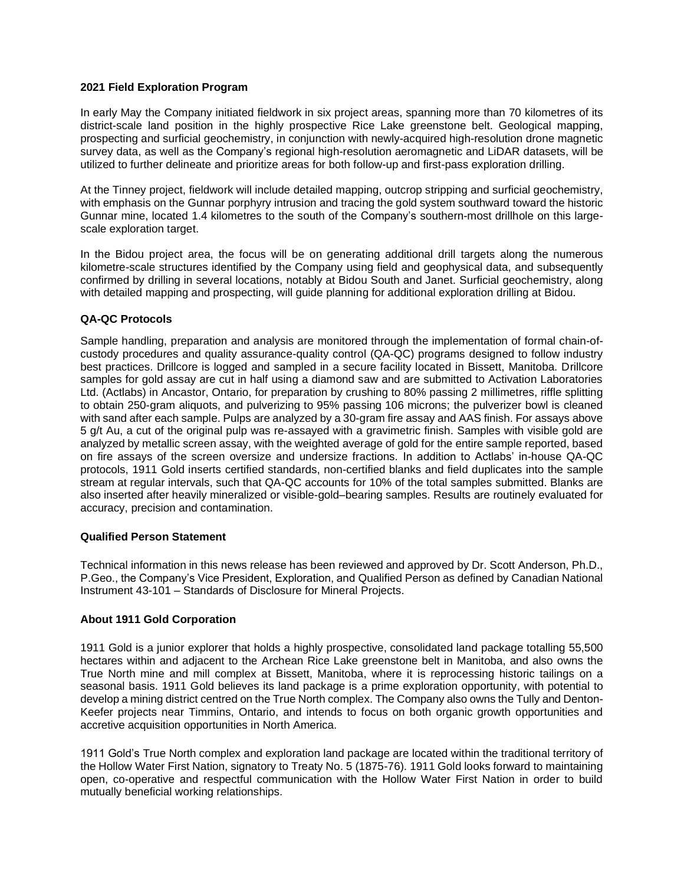## **2021 Field Exploration Program**

In early May the Company initiated fieldwork in six project areas, spanning more than 70 kilometres of its district-scale land position in the highly prospective Rice Lake greenstone belt. Geological mapping, prospecting and surficial geochemistry, in conjunction with newly-acquired high-resolution drone magnetic survey data, as well as the Company's regional high-resolution aeromagnetic and LiDAR datasets, will be utilized to further delineate and prioritize areas for both follow-up and first-pass exploration drilling.

At the Tinney project, fieldwork will include detailed mapping, outcrop stripping and surficial geochemistry, with emphasis on the Gunnar porphyry intrusion and tracing the gold system southward toward the historic Gunnar mine, located 1.4 kilometres to the south of the Company's southern-most drillhole on this largescale exploration target.

In the Bidou project area, the focus will be on generating additional drill targets along the numerous kilometre-scale structures identified by the Company using field and geophysical data, and subsequently confirmed by drilling in several locations, notably at Bidou South and Janet. Surficial geochemistry, along with detailed mapping and prospecting, will guide planning for additional exploration drilling at Bidou.

## **QA-QC Protocols**

Sample handling, preparation and analysis are monitored through the implementation of formal chain-ofcustody procedures and quality assurance-quality control (QA-QC) programs designed to follow industry best practices. Drillcore is logged and sampled in a secure facility located in Bissett, Manitoba. Drillcore samples for gold assay are cut in half using a diamond saw and are submitted to Activation Laboratories Ltd. (Actlabs) in Ancastor, Ontario, for preparation by crushing to 80% passing 2 millimetres, riffle splitting to obtain 250-gram aliquots, and pulverizing to 95% passing 106 microns; the pulverizer bowl is cleaned with sand after each sample. Pulps are analyzed by a 30-gram fire assay and AAS finish. For assays above 5 g/t Au, a cut of the original pulp was re-assayed with a gravimetric finish. Samples with visible gold are analyzed by metallic screen assay, with the weighted average of gold for the entire sample reported, based on fire assays of the screen oversize and undersize fractions. In addition to Actlabs' in-house QA-QC protocols, 1911 Gold inserts certified standards, non-certified blanks and field duplicates into the sample stream at regular intervals, such that QA-QC accounts for 10% of the total samples submitted. Blanks are also inserted after heavily mineralized or visible-gold–bearing samples. Results are routinely evaluated for accuracy, precision and contamination.

#### **Qualified Person Statement**

Technical information in this news release has been reviewed and approved by Dr. Scott Anderson, Ph.D., P.Geo., the Company's Vice President, Exploration, and Qualified Person as defined by Canadian National Instrument 43-101 – Standards of Disclosure for Mineral Projects.

## **About 1911 Gold Corporation**

1911 Gold is a junior explorer that holds a highly prospective, consolidated land package totalling 55,500 hectares within and adjacent to the Archean Rice Lake greenstone belt in Manitoba, and also owns the True North mine and mill complex at Bissett, Manitoba, where it is reprocessing historic tailings on a seasonal basis. 1911 Gold believes its land package is a prime exploration opportunity, with potential to develop a mining district centred on the True North complex. The Company also owns the Tully and Denton-Keefer projects near Timmins, Ontario, and intends to focus on both organic growth opportunities and accretive acquisition opportunities in North America.

1911 Gold's True North complex and exploration land package are located within the traditional territory of the Hollow Water First Nation, signatory to Treaty No. 5 (1875-76). 1911 Gold looks forward to maintaining open, co-operative and respectful communication with the Hollow Water First Nation in order to build mutually beneficial working relationships.